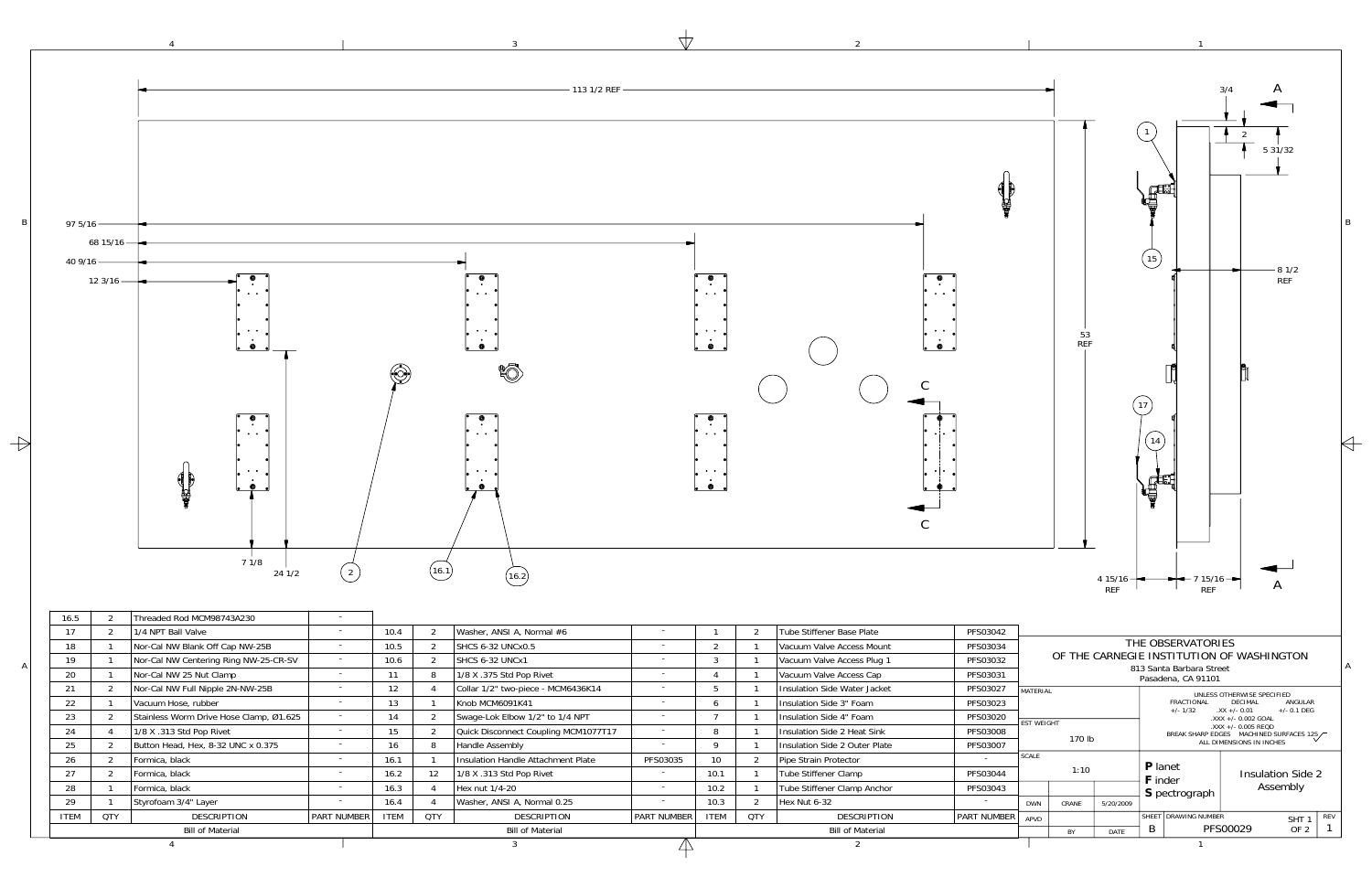

|      | <b>Bill of Material</b> |                                         |                          |                   | <b>Bill of Material</b> |                                      |                          |                | <b>Bill of Material</b> |                               |                   |  |
|------|-------------------------|-----------------------------------------|--------------------------|-------------------|-------------------------|--------------------------------------|--------------------------|----------------|-------------------------|-------------------------------|-------------------|--|
| ITEM | <b>QTY</b>              | <b>DESCRIPTION</b>                      | PART NUMBER              | <b>ITEM</b>       | <b>QTY</b>              | <b>DESCRIPTION</b>                   | <b>PART NUMBER</b>       | <b>ITEM</b>    | <b>QTY</b>              | <b>DESCRIPTION</b>            | <b>PART NUMBE</b> |  |
| 29   |                         | Styrofoam 3/4" Layer                    | $\overline{\phantom{a}}$ | 16.4              |                         | Washer, ANSI A, Normal 0.25          | $\sim$                   | 10.3           |                         | Hex Nut 6-32                  |                   |  |
| 28   |                         | Formica, black                          | $\sim$                   | 16.3              |                         | Hex nut 1/4-20                       | $\sim$                   | 10.2           |                         | Tube Stiffener Clamp Anchor   | PFS03043          |  |
| 27   |                         | Formica, black                          | $\overline{\phantom{a}}$ | 16.2              |                         | 1/8 X .313 Std Pop Rivet             | $\sim$                   | 10.1           |                         | Tube Stiffener Clamp          | PFS03044          |  |
| 26   |                         | Formica, black                          | $\sim$                   | 16.1              |                         | Insulation Handle Attachment Plate   | PFS03035                 | 10             |                         | Pipe Strain Protector         | $\sim$            |  |
| 25   |                         | Button Head, Hex, 8-32 UNC x 0.375      | $\sim$                   | 16                | -8                      | Handle Assembly                      | $\sim$                   | q              |                         | Insulation Side 2 Outer Plate | PFS03007          |  |
| 24   |                         | 1/8 X .313 Std Pop Rivet                | $\sim$                   | 15                |                         | Quick Disconnect Coupling MCM1077T17 | $\sim$                   | 8              |                         | Insulation Side 2 Heat Sink   | PFS03008          |  |
| 23   |                         | Stainless Worm Drive Hose Clamp, Ø1.625 | $\sim$                   | 14                |                         | Swage-Lok Elbow 1/2" to 1/4 NPT      | $\sim$                   |                |                         | Insulation Side 4" Foam       | PFS03020          |  |
| 22   |                         | Vacuum Hose, rubber                     | $\sim$                   | 13                |                         | Knob MCM6091K41                      | $\overline{\phantom{a}}$ | h              |                         | Insulation Side 3" Foam       | PFS03023          |  |
| 21   |                         | Nor-Cal NW Full Nipple 2N-NW-25B        | $\overline{\phantom{a}}$ | $12 \overline{ }$ |                         | Collar 1/2" two-piece - MCM6436K14   | $\overline{\phantom{a}}$ |                |                         | Insulation Side Water Jacket  | PFS03027          |  |
| 20   |                         | Nor-Cal NW 25 Nut Clamp                 | $\sim$                   | -11               | -8                      | 1/8 X .375 Std Pop Rivet             | $\overline{\phantom{a}}$ |                |                         | Vacuum Valve Access Cap       | PFS03031          |  |
| 19   |                         | Nor-Cal NW Centering Ring NW-25-CR-SV   | $\sim$                   | 10.6              |                         | SHCS 6-32 UNCx1                      | $\sim$                   |                |                         | Vacuum Valve Access Plug 1    | PFS03032          |  |
| 18   |                         | Nor-Cal NW Blank Off Cap NW-25B         | $\sim$                   | 10.5              |                         | <b>SHCS 6-32 UNCx0.5</b>             | $\sim$                   | $\overline{2}$ |                         | Vacuum Valve Access Mount     | PFS03034          |  |
| 17   |                         | 1/4 NPT Ball Valve                      | $\sim$                   | 10.4              |                         | Washer, ANSI A, Normal #6            |                          |                |                         | Tube Stiffener Base Plate     | PFS03042          |  |
| 16.5 |                         | Threaded Rod MCM98743A230               |                          |                   |                         |                                      |                          |                |                         |                               |                   |  |